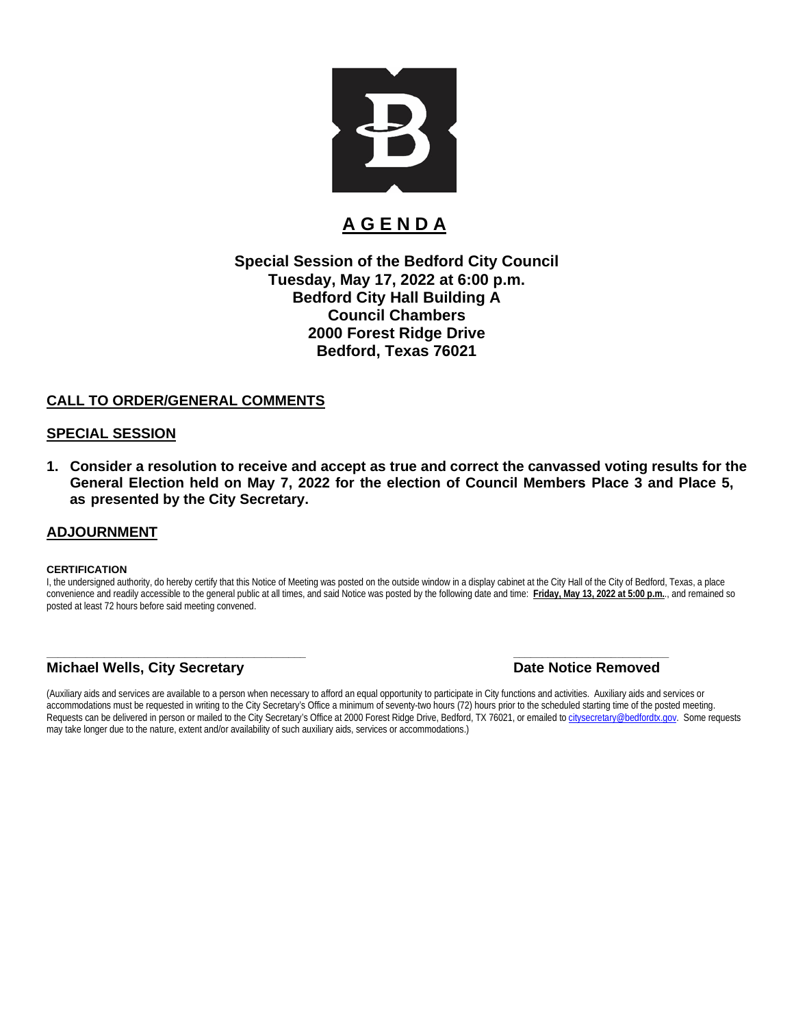

# **A G E N D A**

#### **Special Session of the Bedford City Council Tuesday, May 17, 2022 at 6:00 p.m. Bedford City Hall Building A Council Chambers 2000 Forest Ridge Drive Bedford, Texas 76021**

#### **CALL TO ORDER/GENERAL COMMENTS**

#### **SPECIAL SESSION**

**1. Consider a resolution to receive and accept as true and correct the canvassed voting results for the General Election held on May 7, 2022 for the election of Council Members Place 3 and Place 5, as presented by the City Secretary.**

#### **ADJOURNMENT**

#### **CERTIFICATION**

I, the undersigned authority, do hereby certify that this Notice of Meeting was posted on the outside window in a display cabinet at the City Hall of the City of Bedford, Texas, a place convenience and readily accessible to the general public at all times, and said Notice was posted by the following date and time: **Friday, May 13, 2022 at 5:00 p.m.**., and remained so posted at least 72 hours before said meeting convened.

#### **Michael Wells, City Secretary** *Date Notice Removed*

# **\_\_\_\_\_\_\_\_\_\_\_\_\_\_\_\_\_\_\_\_\_\_\_\_\_\_\_\_\_\_\_\_\_\_\_\_\_\_\_\_\_\_\_\_\_ \_\_\_\_\_\_\_\_\_\_\_\_\_\_\_\_\_\_\_\_\_\_\_\_\_\_\_**

(Auxiliary aids and services are available to a person when necessary to afford an equal opportunity to participate in City functions and activities. Auxiliary aids and services or accommodations must be requested in writing to the City Secretary's Office a minimum of seventy-two hours (72) hours prior to the scheduled starting time of the posted meeting. Requests can be delivered in person or mailed to the City Secretary's Office at 2000 Forest Ridge Drive, Bedford, TX 76021, or emailed t[o citysecretary@bedfordtx.gov.](mailto:citysecretary@bedfordtx.gov) Some requests may take longer due to the nature, extent and/or availability of such auxiliary aids, services or accommodations.)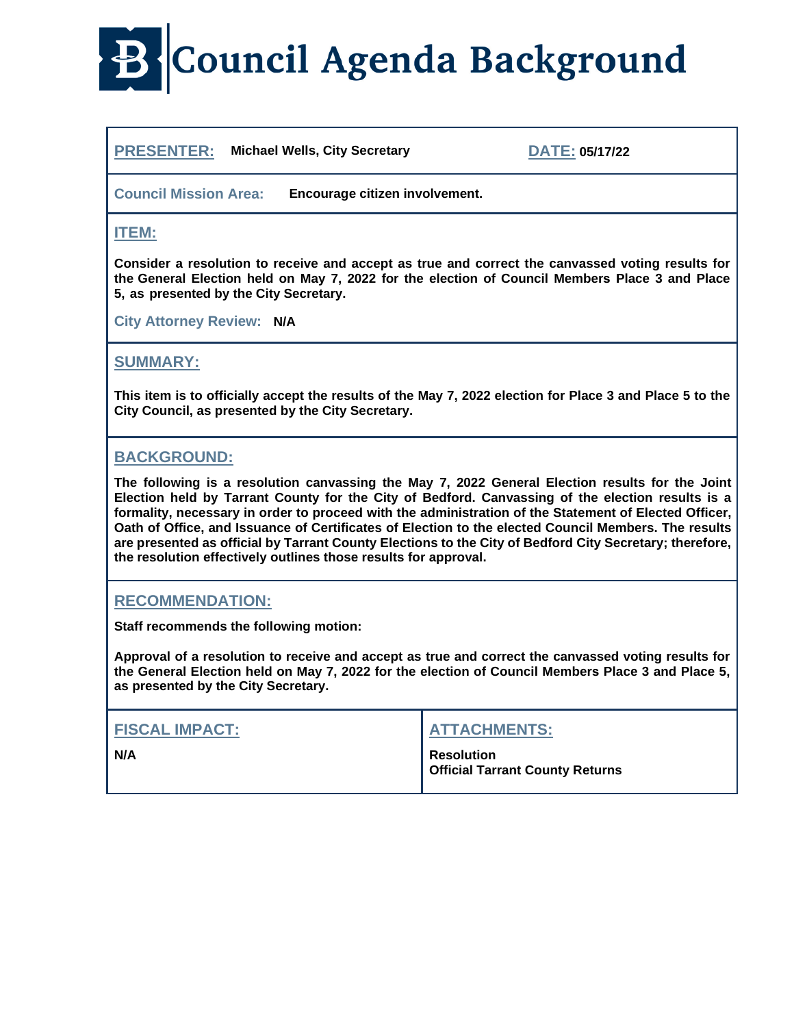# **B** Council Agenda Background

**PRESENTER: Michael Wells, City Secretary DATE: 05/17/22**

**Council Mission Area: Encourage citizen involvement.**

#### **ITEM:**

**Consider a resolution to receive and accept as true and correct the canvassed voting results for the General Election held on May 7, 2022 for the election of Council Members Place 3 and Place 5, as presented by the City Secretary.** 

**City Attorney Review: N/A**

## **SUMMARY:**

**This item is to officially accept the results of the May 7, 2022 election for Place 3 and Place 5 to the City Council, as presented by the City Secretary.** 

### **BACKGROUND:**

**The following is a resolution canvassing the May 7, 2022 General Election results for the Joint Election held by Tarrant County for the City of Bedford. Canvassing of the election results is a formality, necessary in order to proceed with the administration of the Statement of Elected Officer, Oath of Office, and Issuance of Certificates of Election to the elected Council Members. The results are presented as official by Tarrant County Elections to the City of Bedford City Secretary; therefore, the resolution effectively outlines those results for approval.**

#### **RECOMMENDATION:**

**Staff recommends the following motion:**

**Approval of a resolution to receive and accept as true and correct the canvassed voting results for the General Election held on May 7, 2022 for the election of Council Members Place 3 and Place 5, as presented by the City Secretary.** 

| <b>FISCAL IMPACT:</b> | <b>ATTACHMENTS:</b>                                         |
|-----------------------|-------------------------------------------------------------|
| N/A                   | <b>Resolution</b><br><b>Official Tarrant County Returns</b> |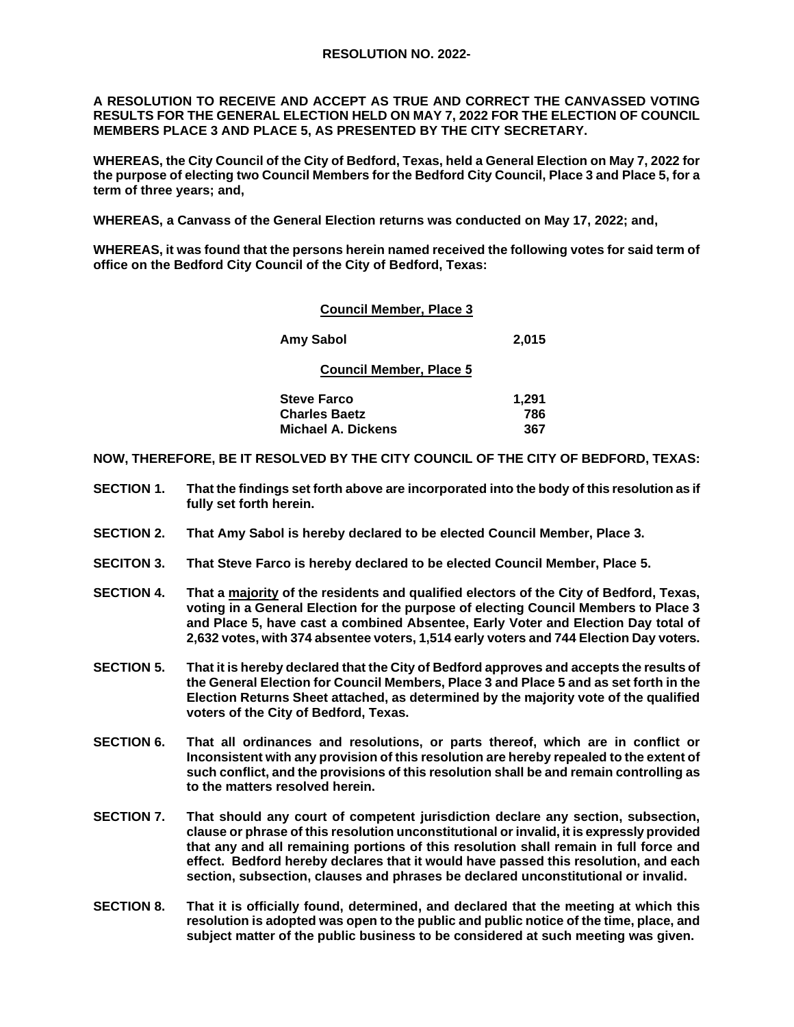#### **RESOLUTION NO. 2022-**

**A RESOLUTION TO RECEIVE AND ACCEPT AS TRUE AND CORRECT THE CANVASSED VOTING RESULTS FOR THE GENERAL ELECTION HELD ON MAY 7, 2022 FOR THE ELECTION OF COUNCIL MEMBERS PLACE 3 AND PLACE 5, AS PRESENTED BY THE CITY SECRETARY.** 

**WHEREAS, the City Council of the City of Bedford, Texas, held a General Election on May 7, 2022 for the purpose of electing two Council Members for the Bedford City Council, Place 3 and Place 5, for a term of three years; and,**

**WHEREAS, a Canvass of the General Election returns was conducted on May 17, 2022; and,** 

**WHEREAS, it was found that the persons herein named received the following votes for said term of office on the Bedford City Council of the City of Bedford, Texas:**

| <b>Council Member, Place 3</b> |       |
|--------------------------------|-------|
| Amy Sabol                      | 2,015 |
| <b>Council Member, Place 5</b> |       |
| <b>Steve Farco</b>             | 1,291 |
| <b>Charles Baetz</b>           | 786   |
| Michael A. Dickens             | 367   |

**NOW, THEREFORE, BE IT RESOLVED BY THE CITY COUNCIL OF THE CITY OF BEDFORD, TEXAS:**

- **SECTION 1. That the findings set forth above are incorporated into the body of this resolution as if fully set forth herein.**
- **SECTION 2. That Amy Sabol is hereby declared to be elected Council Member, Place 3.**
- **SECITON 3. That Steve Farco is hereby declared to be elected Council Member, Place 5.**
- **SECTION 4. That a majority of the residents and qualified electors of the City of Bedford, Texas, voting in a General Election for the purpose of electing Council Members to Place 3 and Place 5, have cast a combined Absentee, Early Voter and Election Day total of 2,632 votes, with 374 absentee voters, 1,514 early voters and 744 Election Day voters.**
- **SECTION 5. That it is hereby declared that the City of Bedford approves and accepts the results of the General Election for Council Members, Place 3 and Place 5 and as set forth in the Election Returns Sheet attached, as determined by the majority vote of the qualified voters of the City of Bedford, Texas.**
- **SECTION 6. That all ordinances and resolutions, or parts thereof, which are in conflict or Inconsistent with any provision of this resolution are hereby repealed to the extent of such conflict, and the provisions of this resolution shall be and remain controlling as to the matters resolved herein.**
- **SECTION 7. That should any court of competent jurisdiction declare any section, subsection, clause or phrase of this resolution unconstitutional or invalid, it is expressly provided that any and all remaining portions of this resolution shall remain in full force and effect. Bedford hereby declares that it would have passed this resolution, and each section, subsection, clauses and phrases be declared unconstitutional or invalid.**
- **SECTION 8. That it is officially found, determined, and declared that the meeting at which this resolution is adopted was open to the public and public notice of the time, place, and subject matter of the public business to be considered at such meeting was given.**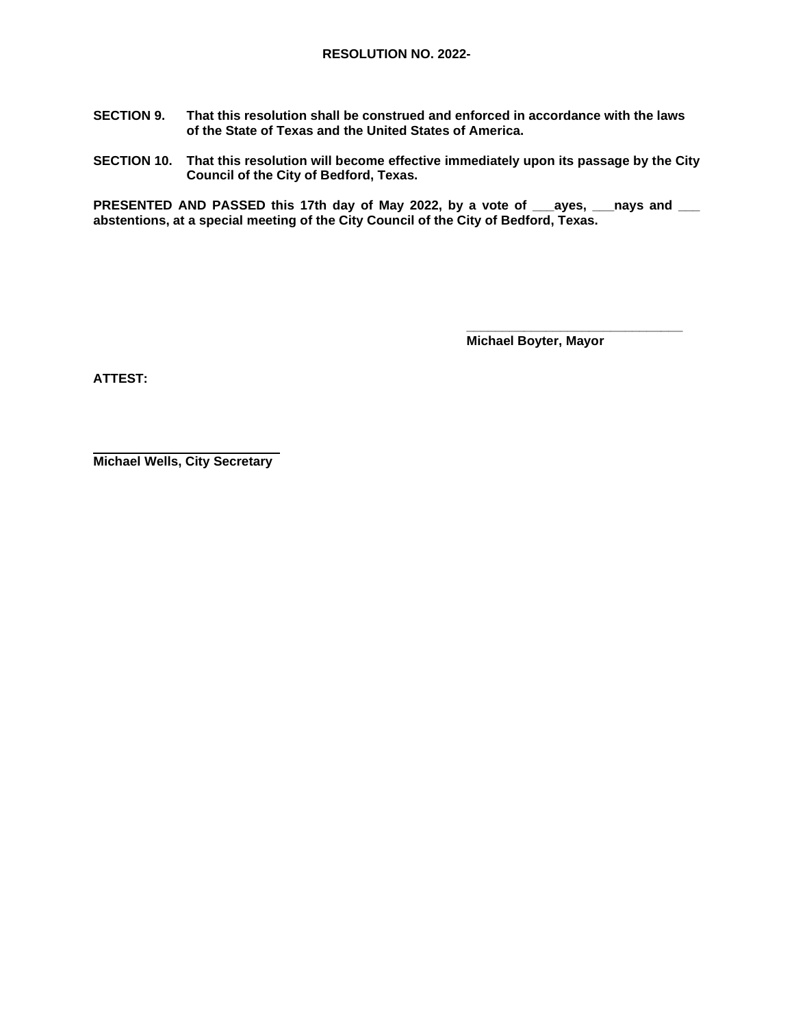- **SECTION 9. That this resolution shall be construed and enforced in accordance with the laws of the State of Texas and the United States of America.**
- **SECTION 10. That this resolution will become effective immediately upon its passage by the City Council of the City of Bedford, Texas.**

**PRESENTED AND PASSED this 17th day of May 2022, by a vote of \_\_\_ayes, \_\_\_nays and \_\_\_ abstentions, at a special meeting of the City Council of the City of Bedford, Texas.**

 **\_\_\_\_\_\_\_\_\_\_\_\_\_\_\_\_\_\_\_\_\_\_\_\_\_\_\_\_\_\_ Michael Boyter, Mayor** 

**ATTEST:**

**Michael Wells, City Secretary**